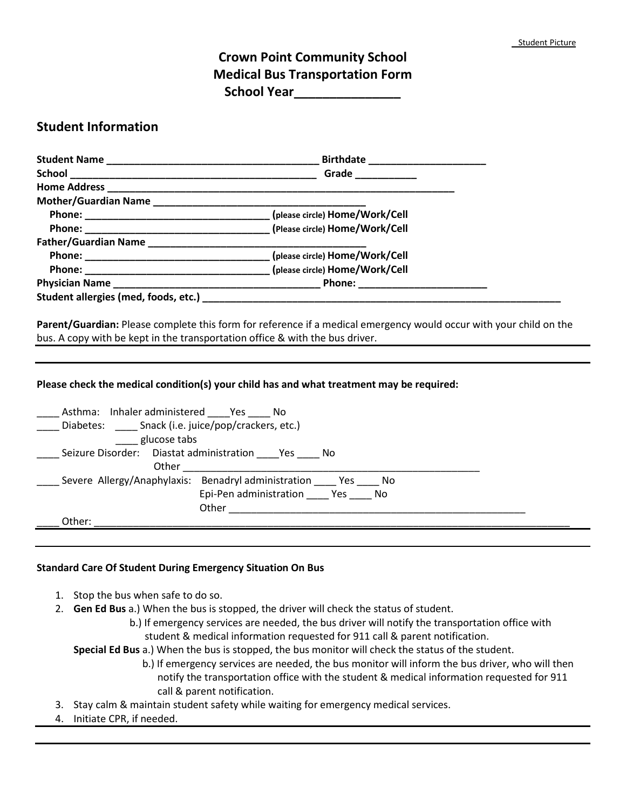## **Crown Point Community School Medical Bus Transportation Form School Year\_\_\_\_\_\_\_\_\_\_\_\_\_\_\_**

## **Student Information**

|                                                                              | Grade <b>Carl Communication</b>                                                          |
|------------------------------------------------------------------------------|------------------------------------------------------------------------------------------|
|                                                                              |                                                                                          |
|                                                                              |                                                                                          |
|                                                                              |                                                                                          |
|                                                                              |                                                                                          |
|                                                                              |                                                                                          |
|                                                                              |                                                                                          |
|                                                                              |                                                                                          |
|                                                                              |                                                                                          |
|                                                                              |                                                                                          |
|                                                                              |                                                                                          |
|                                                                              | Please check the medical condition(s) your child has and what treatment may be required: |
| Asthma: Inhaler administered Yes No                                          |                                                                                          |
| Diabetes: _____ Snack (i.e. juice/pop/crackers, etc.)                        |                                                                                          |
| glucose tabs                                                                 |                                                                                          |
| Seizure Disorder: Diastat administration _____Yes _____ No                   |                                                                                          |
| _____ Severe Allergy/Anaphylaxis: Benadryl administration _____ Yes _____ No |                                                                                          |
|                                                                              | Epi-Pen administration _____ Yes _____ No                                                |
|                                                                              |                                                                                          |
| Other:                                                                       |                                                                                          |
|                                                                              |                                                                                          |

## **Standard Care Of Student During Emergency Situation On Bus**

- 1. Stop the bus when safe to do so.
- 2. **Gen Ed Bus** a.) When the bus is stopped, the driver will check the status of student.
	- b.) If emergency services are needed, the bus driver will notify the transportation office with student & medical information requested for 911 call & parent notification.

**Special Ed Bus** a.) When the bus is stopped, the bus monitor will check the status of the student.

- b.) If emergency services are needed, the bus monitor will inform the bus driver, who will then notify the transportation office with the student & medical information requested for 911 call & parent notification.
- 3. Stay calm & maintain student safety while waiting for emergency medical services.
- 4. Initiate CPR, if needed.